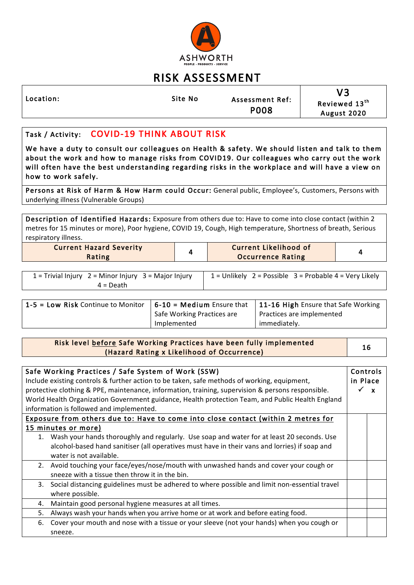

## RISK ASSESSMENT

Location: Site No

Assessment Ref: P008

V3 Reviewed 13<sup>th</sup> August 2020 

## Task / Activity: COVID-19 THINK ABOUT RISK

We have a duty to consult our colleagues on Health & safety. We should listen and talk to them about the work and how to manage risks from COVID19. Our colleagues who carry out the work will often have the best understanding regarding risks in the workplace and will have a view on how to work safely.

Persons at Risk of Harm & How Harm could Occur: General public, Employee's, Customers, Persons with underlying illness (Vulnerable Groups)

Description of Identified Hazards: Exposure from others due to: Have to come into close contact (within 2 metres for 15 minutes or more), Poor hygiene, COVID 19, Cough, High temperature, Shortness of breath, Serious respiratory illness.

| <b>Current Hazard Severity</b><br>Rating | <b>Current Likelihood of</b><br><b>Occurrence Rating</b> |  |
|------------------------------------------|----------------------------------------------------------|--|
|                                          |                                                          |  |

| $1 =$ Trivial Injury $2 =$ Minor Injury $3 =$ Major Injury | $1 =$ Unlikely $2 =$ Possible $3 =$ Probable 4 = Very Likely |
|------------------------------------------------------------|--------------------------------------------------------------|
| $4 = Death$                                                |                                                              |

| $\vert$ 6-10 = Medium Ensure that<br>  1-5 = Low Risk Continue to Monitor |                            | 11-16 High Ensure that Safe Working |  |
|---------------------------------------------------------------------------|----------------------------|-------------------------------------|--|
|                                                                           | Safe Working Practices are | Practices are implemented           |  |
|                                                                           | Implemented                | immediately.                        |  |

Risk level before Safe Working Practices have been fully implemented <u>OTE</u> Sare WOTKing Practices have been funy implemented<br>(Hazard Rating x Likelihood of Occurrence)

| Safe Working Practices / Safe System of Work (SSW)                                                | <b>Controls</b> |
|---------------------------------------------------------------------------------------------------|-----------------|
| Include existing controls & further action to be taken, safe methods of working, equipment,       |                 |
| protective clothing & PPE, maintenance, information, training, supervision & persons responsible. |                 |
| World Health Organization Government guidance, Health protection Team, and Public Health England  |                 |
| information is followed and implemented.                                                          |                 |
| Exposure from others due to: Have to come into close contact (within 2 metres for                 |                 |
| 15 minutes or more)                                                                               |                 |
| 1. Wash your hands thoroughly and regularly. Use soap and water for at least 20 seconds. Use      |                 |
| alcohol-based hand sanitiser (all operatives must have in their vans and lorries) if soap and     |                 |
| water is not available.                                                                           |                 |
| 2. Avoid touching your face/eyes/nose/mouth with unwashed hands and cover your cough or           |                 |
| sneeze with a tissue then throw it in the bin.                                                    |                 |
| 3. Social distancing guidelines must be adhered to where possible and limit non-essential travel  |                 |
| where possible.                                                                                   |                 |
| Maintain good personal hygiene measures at all times.<br>4.                                       |                 |
| Always wash your hands when you arrive home or at work and before eating food.<br>5.              |                 |
| Cover your mouth and nose with a tissue or your sleeve (not your hands) when you cough or<br>6.   |                 |
| sneeze.                                                                                           |                 |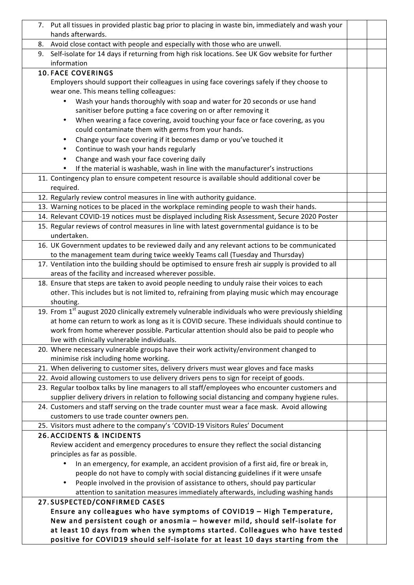| 7. Put all tissues in provided plastic bag prior to placing in waste bin, immediately and wash your                                                            |  |
|----------------------------------------------------------------------------------------------------------------------------------------------------------------|--|
| hands afterwards.                                                                                                                                              |  |
| Avoid close contact with people and especially with those who are unwell.<br>8.                                                                                |  |
| 9. Self-isolate for 14 days if returning from high risk locations. See UK Gov website for further                                                              |  |
| information                                                                                                                                                    |  |
| <b>10. FACE COVERINGS</b>                                                                                                                                      |  |
| Employers should support their colleagues in using face coverings safely if they choose to                                                                     |  |
| wear one. This means telling colleagues:                                                                                                                       |  |
| Wash your hands thoroughly with soap and water for 20 seconds or use hand                                                                                      |  |
| sanitiser before putting a face covering on or after removing it                                                                                               |  |
| When wearing a face covering, avoid touching your face or face covering, as you<br>٠                                                                           |  |
| could contaminate them with germs from your hands.                                                                                                             |  |
| Change your face covering if it becomes damp or you've touched it<br>$\bullet$                                                                                 |  |
| Continue to wash your hands regularly                                                                                                                          |  |
| Change and wash your face covering daily                                                                                                                       |  |
| If the material is washable, wash in line with the manufacturer's instructions                                                                                 |  |
| 11. Contingency plan to ensure competent resource is available should additional cover be                                                                      |  |
| required.                                                                                                                                                      |  |
|                                                                                                                                                                |  |
| 12. Regularly review control measures in line with authority guidance.                                                                                         |  |
| 13. Warning notices to be placed in the workplace reminding people to wash their hands.                                                                        |  |
| 14. Relevant COVID-19 notices must be displayed including Risk Assessment, Secure 2020 Poster                                                                  |  |
| 15. Regular reviews of control measures in line with latest governmental guidance is to be<br>undertaken.                                                      |  |
| 16. UK Government updates to be reviewed daily and any relevant actions to be communicated                                                                     |  |
| to the management team during twice weekly Teams call (Tuesday and Thursday)                                                                                   |  |
| 17. Ventilation into the building should be optimised to ensure fresh air supply is provided to all                                                            |  |
| areas of the facility and increased wherever possible.                                                                                                         |  |
| 18. Ensure that steps are taken to avoid people needing to unduly raise their voices to each                                                                   |  |
| other. This includes but is not limited to, refraining from playing music which may encourage                                                                  |  |
| shouting.                                                                                                                                                      |  |
| 19. From $1^{st}$ august 2020 clinically extremely vulnerable individuals who were previously shielding                                                        |  |
| at home can return to work as long as it is COVID secure. These individuals should continue to                                                                 |  |
| work from home wherever possible. Particular attention should also be paid to people who                                                                       |  |
| live with clinically vulnerable individuals.                                                                                                                   |  |
| 20. Where necessary vulnerable groups have their work activity/environment changed to                                                                          |  |
| minimise risk including home working.                                                                                                                          |  |
| 21. When delivering to customer sites, delivery drivers must wear gloves and face masks                                                                        |  |
| 22. Avoid allowing customers to use delivery drivers pens to sign for receipt of goods.                                                                        |  |
| 23. Regular toolbox talks by line managers to all staff/employees who encounter customers and                                                                  |  |
| supplier delivery drivers in relation to following social distancing and company hygiene rules.                                                                |  |
| 24. Customers and staff serving on the trade counter must wear a face mask. Avoid allowing                                                                     |  |
| customers to use trade counter owners pen.                                                                                                                     |  |
| 25. Visitors must adhere to the company's 'COVID-19 Visitors Rules' Document                                                                                   |  |
| <b>26. ACCIDENTS &amp; INCIDENTS</b>                                                                                                                           |  |
| Review accident and emergency procedures to ensure they reflect the social distancing                                                                          |  |
| principles as far as possible.                                                                                                                                 |  |
| In an emergency, for example, an accident provision of a first aid, fire or break in,                                                                          |  |
| people do not have to comply with social distancing guidelines if it were unsafe                                                                               |  |
| People involved in the provision of assistance to others, should pay particular<br>$\bullet$                                                                   |  |
| attention to sanitation measures immediately afterwards, including washing hands                                                                               |  |
| 27. SUSPECTED/CONFIRMED CASES                                                                                                                                  |  |
| Ensure any colleagues who have symptoms of COVID19 - High Temperature,                                                                                         |  |
| New and persistent cough or anosmia - however mild, should self-isolate for                                                                                    |  |
| at least 10 days from when the symptoms started. Colleagues who have tested<br>positive for COVID19 should self-isolate for at least 10 days starting from the |  |
|                                                                                                                                                                |  |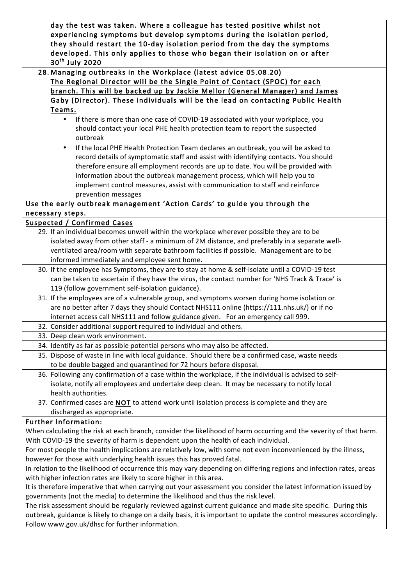| day the test was taken. Where a colleague has tested positive whilst not<br>experiencing symptoms but develop symptoms during the isolation period,<br>they should restart the 10-day isolation period from the day the symptoms<br>developed. This only applies to those who began their isolation on or after<br>30 <sup>th</sup> July 2020 |  |  |
|-----------------------------------------------------------------------------------------------------------------------------------------------------------------------------------------------------------------------------------------------------------------------------------------------------------------------------------------------|--|--|
| 28. Managing outbreaks in the Workplace (latest advice 05.08.20)                                                                                                                                                                                                                                                                              |  |  |
|                                                                                                                                                                                                                                                                                                                                               |  |  |
| The Regional Director will be the Single Point of Contact (SPOC) for each                                                                                                                                                                                                                                                                     |  |  |
| branch. This will be backed up by Jackie Mellor (General Manager) and James                                                                                                                                                                                                                                                                   |  |  |
| Gaby (Director). These individuals will be the lead on contacting Public Health                                                                                                                                                                                                                                                               |  |  |
| Teams.                                                                                                                                                                                                                                                                                                                                        |  |  |
| If there is more than one case of COVID-19 associated with your workplace, you<br>$\bullet$                                                                                                                                                                                                                                                   |  |  |
|                                                                                                                                                                                                                                                                                                                                               |  |  |
| should contact your local PHE health protection team to report the suspected                                                                                                                                                                                                                                                                  |  |  |
| outbreak                                                                                                                                                                                                                                                                                                                                      |  |  |
| If the local PHE Health Protection Team declares an outbreak, you will be asked to<br>$\bullet$                                                                                                                                                                                                                                               |  |  |
| record details of symptomatic staff and assist with identifying contacts. You should                                                                                                                                                                                                                                                          |  |  |
| therefore ensure all employment records are up to date. You will be provided with                                                                                                                                                                                                                                                             |  |  |
|                                                                                                                                                                                                                                                                                                                                               |  |  |
| information about the outbreak management process, which will help you to                                                                                                                                                                                                                                                                     |  |  |
| implement control measures, assist with communication to staff and reinforce                                                                                                                                                                                                                                                                  |  |  |
| prevention messages                                                                                                                                                                                                                                                                                                                           |  |  |
| Use the early outbreak management 'Action Cards' to guide you through the                                                                                                                                                                                                                                                                     |  |  |
| necessary steps.                                                                                                                                                                                                                                                                                                                              |  |  |
| <b>Suspected / Confirmed Cases</b>                                                                                                                                                                                                                                                                                                            |  |  |
| 29. If an individual becomes unwell within the workplace wherever possible they are to be                                                                                                                                                                                                                                                     |  |  |
|                                                                                                                                                                                                                                                                                                                                               |  |  |
| isolated away from other staff - a minimum of 2M distance, and preferably in a separate well-                                                                                                                                                                                                                                                 |  |  |
| ventilated area/room with separate bathroom facilities if possible. Management are to be                                                                                                                                                                                                                                                      |  |  |
| informed immediately and employee sent home.                                                                                                                                                                                                                                                                                                  |  |  |
| 30. If the employee has Symptoms, they are to stay at home & self-isolate until a COVID-19 test                                                                                                                                                                                                                                               |  |  |
| can be taken to ascertain if they have the virus, the contact number for 'NHS Track & Trace' is                                                                                                                                                                                                                                               |  |  |
| 119 (follow government self-isolation guidance).                                                                                                                                                                                                                                                                                              |  |  |
|                                                                                                                                                                                                                                                                                                                                               |  |  |
| 31. If the employees are of a vulnerable group, and symptoms worsen during home isolation or                                                                                                                                                                                                                                                  |  |  |
| are no better after 7 days they should Contact NHS111 online (https://111.nhs.uk/) or if no                                                                                                                                                                                                                                                   |  |  |
| internet access call NHS111 and follow guidance given. For an emergency call 999.                                                                                                                                                                                                                                                             |  |  |
| 32. Consider additional support required to individual and others.                                                                                                                                                                                                                                                                            |  |  |
| 33. Deep clean work environment.                                                                                                                                                                                                                                                                                                              |  |  |
| 34. Identify as far as possible potential persons who may also be affected.                                                                                                                                                                                                                                                                   |  |  |
| 35. Dispose of waste in line with local guidance. Should there be a confirmed case, waste needs                                                                                                                                                                                                                                               |  |  |
|                                                                                                                                                                                                                                                                                                                                               |  |  |
| to be double bagged and quarantined for 72 hours before disposal.                                                                                                                                                                                                                                                                             |  |  |
| 36. Following any confirmation of a case within the workplace, if the individual is advised to self-                                                                                                                                                                                                                                          |  |  |
| isolate, notify all employees and undertake deep clean. It may be necessary to notify local                                                                                                                                                                                                                                                   |  |  |
| health authorities.                                                                                                                                                                                                                                                                                                                           |  |  |
| 37. Confirmed cases are NOT to attend work until isolation process is complete and they are                                                                                                                                                                                                                                                   |  |  |
| discharged as appropriate.                                                                                                                                                                                                                                                                                                                    |  |  |
| <b>Further Information:</b>                                                                                                                                                                                                                                                                                                                   |  |  |
|                                                                                                                                                                                                                                                                                                                                               |  |  |
| When calculating the risk at each branch, consider the likelihood of harm occurring and the severity of that harm.                                                                                                                                                                                                                            |  |  |
| With COVID-19 the severity of harm is dependent upon the health of each individual.                                                                                                                                                                                                                                                           |  |  |
| For most people the health implications are relatively low, with some not even inconvenienced by the illness,                                                                                                                                                                                                                                 |  |  |
| however for those with underlying health issues this has proved fatal.                                                                                                                                                                                                                                                                        |  |  |
| In relation to the likelihood of occurrence this may vary depending on differing regions and infection rates, areas                                                                                                                                                                                                                           |  |  |
| with higher infection rates are likely to score higher in this area.                                                                                                                                                                                                                                                                          |  |  |
|                                                                                                                                                                                                                                                                                                                                               |  |  |
| It is therefore imperative that when carrying out your assessment you consider the latest information issued by                                                                                                                                                                                                                               |  |  |
| governments (not the media) to determine the likelihood and thus the risk level.                                                                                                                                                                                                                                                              |  |  |
| The risk assessment should be regularly reviewed against current guidance and made site specific. During this                                                                                                                                                                                                                                 |  |  |
| outbreak, guidance is likely to change on a daily basis, it is important to update the control measures accordingly.                                                                                                                                                                                                                          |  |  |

Follow www.gov.uk/dhsc for further information.